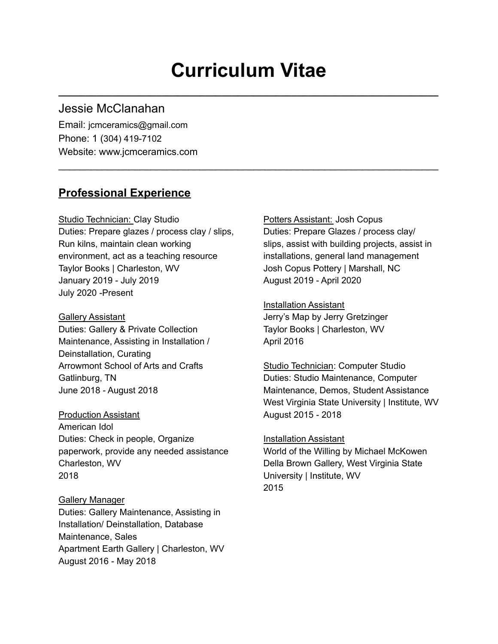# **Curriculum Vitae**

**\_\_\_\_\_\_\_\_\_\_\_\_\_\_\_\_\_\_\_\_\_\_\_\_\_\_\_\_\_\_\_\_\_\_\_\_\_\_\_\_\_\_\_\_\_\_\_\_\_\_\_\_\_\_\_\_\_\_\_\_\_\_\_\_\_\_\_\_\_\_**

 $\mathcal{L}_\text{max} = \mathcal{L}_\text{max} = \mathcal{L}_\text{max} = \mathcal{L}_\text{max} = \mathcal{L}_\text{max} = \mathcal{L}_\text{max} = \mathcal{L}_\text{max} = \mathcal{L}_\text{max} = \mathcal{L}_\text{max} = \mathcal{L}_\text{max} = \mathcal{L}_\text{max} = \mathcal{L}_\text{max} = \mathcal{L}_\text{max} = \mathcal{L}_\text{max} = \mathcal{L}_\text{max} = \mathcal{L}_\text{max} = \mathcal{L}_\text{max} = \mathcal{L}_\text{max} = \mathcal{$ 

### Jessie McClanahan

Email: jcmceramics@gmail.com Phone: 1 (304) 419-7102 Website: www.jcmceramics.com

### **Professional Experience**

Studio Technician: Clay Studio **Potters Assistant: Josh Copus** Duties: Prepare glazes / process clay / slips, Run kilns, maintain clean working environment, act as a teaching resource Taylor Books | Charleston, WV January 2019 - July 2019 July 2020 -Present

Gallery Assistant Duties: Gallery & Private Collection Maintenance, Assisting in Installation / Deinstallation, Curating Arrowmont School of Arts and Crafts Gatlinburg, TN June 2018 - August 2018

Production Assistant American Idol Duties: Check in people, Organize paperwork, provide any needed assistance Charleston, WV 2018

Gallery Manager Duties: Gallery Maintenance, Assisting in Installation/ Deinstallation, Database Maintenance, Sales Apartment Earth Gallery | Charleston, WV August 2016 - May 2018

Duties: Prepare Glazes / process clay/ slips, assist with building projects, assist in installations, general land management Josh Copus Pottery | Marshall, NC August 2019 - April 2020

Installation Assistant Jerry's Map by Jerry Gretzinger Taylor Books | Charleston, WV April 2016

Studio Technician: Computer Studio Duties: Studio Maintenance, Computer Maintenance, Demos, Student Assistance West Virginia State University | Institute, WV August 2015 - 2018

Installation Assistant

World of the Willing by Michael McKowen Della Brown Gallery, West Virginia State University | Institute, WV 2015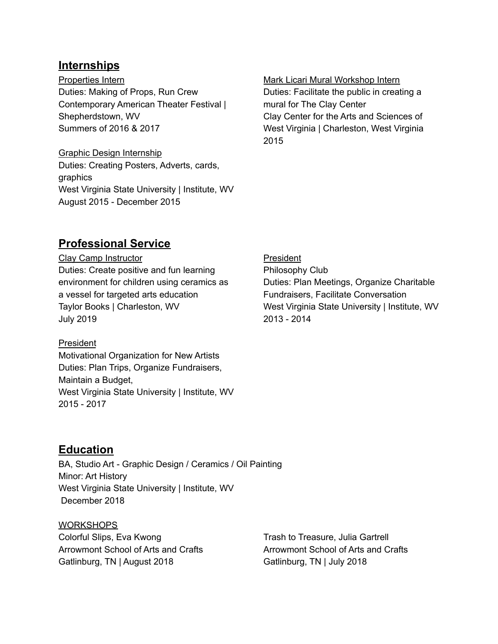### **Internships**

Properties Intern Duties: Making of Props, Run Crew Contemporary American Theater Festival | Shepherdstown, WV Summers of 2016 & 2017

Graphic Design Internship Duties: Creating Posters, Adverts, cards, graphics West Virginia State University | Institute, WV August 2015 - December 2015

#### Mark Licari Mural Workshop Intern

Duties: Facilitate the public in creating a mural for The Clay Center Clay Center for the Arts and Sciences of West Virginia | Charleston, West Virginia 2015

### **Professional Service**

Clay Camp Instructor Duties: Create positive and fun learning environment for children using ceramics as a vessel for targeted arts education Taylor Books | Charleston, WV July 2019

### President

Motivational Organization for New Artists Duties: Plan Trips, Organize Fundraisers, Maintain a Budget, West Virginia State University | Institute, WV 2015 - 2017

### **Education**

BA, Studio Art - Graphic Design / Ceramics / Oil Painting Minor: Art History West Virginia State University | Institute, WV December 2018

WORKSHOPS Colorful Slips, Eva Kwong Arrowmont School of Arts and Crafts Gatlinburg, TN | August 2018

Trash to Treasure, Julia Gartrell Arrowmont School of Arts and Crafts Gatlinburg, TN | July 2018

President Philosophy Club Duties: Plan Meetings, Organize Charitable Fundraisers, Facilitate Conversation West Virginia State University | Institute, WV 2013 - 2014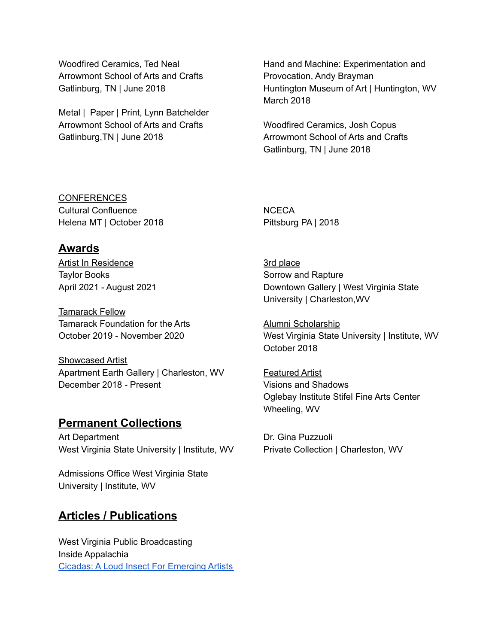Woodfired Ceramics, Ted Neal Arrowmont School of Arts and Crafts Gatlinburg, TN | June 2018

Metal | Paper | Print, Lynn Batchelder Arrowmont School of Arts and Crafts Gatlinburg,TN | June 2018

Hand and Machine: Experimentation and Provocation, Andy Brayman Huntington Museum of Art | Huntington, WV March 2018

Woodfired Ceramics, Josh Copus Arrowmont School of Arts and Crafts Gatlinburg, TN | June 2018

CONFERENCES Cultural Confluence Helena MT | October 2018

# **Awards**

Artist In Residence Taylor Books April 2021 - August 2021

Tamarack Fellow Tamarack Foundation for the Arts October 2019 - November 2020

Showcased Artist Apartment Earth Gallery | Charleston, WV December 2018 - Present

### **Permanent Collections**

Art Department West Virginia State University | Institute, WV

Admissions Office West Virginia State University | Institute, WV

## **Articles / Publications**

West Virginia Public Broadcasting Inside Appalachia Cicadas: A Loud Insect For [Emerging](https://www.wvpublic.org/section/arts-culture/2020-11-10/cicadas-a-loud-insect-for-emerging-artists) Artists **NCECA** Pittsburg PA | 2018

3rd place Sorrow and Rapture Downtown Gallery | West Virginia State University | Charleston,WV

Alumni Scholarship West Virginia State University | Institute, WV October 2018

Featured Artist Visions and Shadows Oglebay Institute Stifel Fine Arts Center Wheeling, WV

Dr. Gina Puzzuoli Private Collection | Charleston, WV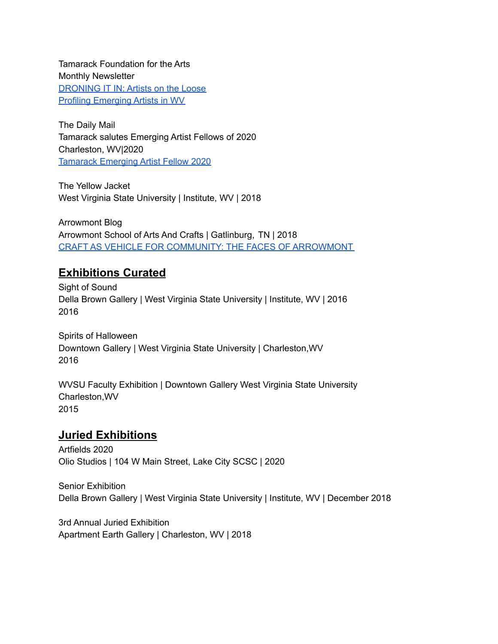Tamarack Foundation for the Arts Monthly Newsletter [DRONING](https://tamarackforthearts.substack.com/p/droning-it-in-artists-on-the-loose?token=eyJ1c2VyX2lkIjo2Mjk2MTkyLCJwb3N0X2lkIjoyNzcwNDQsIl8iOiJweXhIMiIsImlhdCI6MTU4Mzk4NzI2OCwiZXhwIjoxNTgzOTkwODY4LCJpc3MiOiJwdWItMjY5OTUiLCJzdWIiOiJwb3N0LXJlYWN0aW9uIn0.-BiIAx4DyYPNq7kHtO23TGupa-Lvo3uoaVeLzyglrlI) IT IN: Artists on the Loose Profiling [Emerging](https://tamarackforthearts.substack.com/p/profiling-emerging-artists-in-wv) Artists in WV

The Daily Mail Tamarack salutes Emerging Artist Fellows of 2020 Charleston, WV|2020 [Tamarack](https://www.wvgazettemail.com/dailymailwv/daily_mail_news/tamarack-salutes-emerging-artist-fellows-of/article_3bc31902-81a4-5cec-ac15-55a4d570de08.html) Emerging Artist Fellow 2020

The Yellow Jacket West Virginia State University | Institute, WV | 2018

Arrowmont Blog Arrowmont School of Arts And Crafts | Gatlinburg, TN | 2018 CRAFT AS VEHICLE FOR COMMUNITY: THE FACES OF [ARROWMONT](https://www.arrowmont.org/craft-as-vehicle-for-community-the-faces-of-arrowmont-2/)

### **Exhibitions Curated**

Sight of Sound Della Brown Gallery | West Virginia State University | Institute, WV | 2016 2016

Spirits of Halloween Downtown Gallery | West Virginia State University | Charleston,WV 2016

WVSU Faculty Exhibition | Downtown Gallery West Virginia State University Charleston,WV 2015

## **Juried Exhibitions**

Artfields 2020 Olio Studios | 104 W Main Street, Lake City SCSC | 2020

Senior Exhibition Della Brown Gallery | West Virginia State University | Institute, WV | December 2018

3rd Annual Juried Exhibition Apartment Earth Gallery | Charleston, WV | 2018